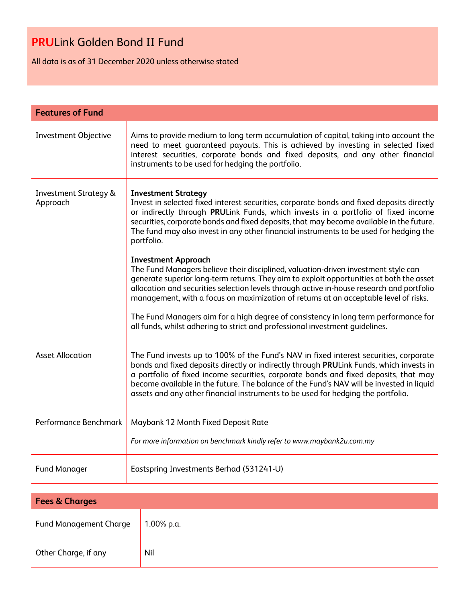All data is as of 31 December 2020 unless otherwise stated

| <b>Features of Fund</b>                      |                                                                                                                                                                                                                                                                                                                                                                                                                                                                                                                                                                          |
|----------------------------------------------|--------------------------------------------------------------------------------------------------------------------------------------------------------------------------------------------------------------------------------------------------------------------------------------------------------------------------------------------------------------------------------------------------------------------------------------------------------------------------------------------------------------------------------------------------------------------------|
| Investment Objective                         | Aims to provide medium to long term accumulation of capital, taking into account the<br>need to meet guaranteed payouts. This is achieved by investing in selected fixed<br>interest securities, corporate bonds and fixed deposits, and any other financial<br>instruments to be used for hedging the portfolio.                                                                                                                                                                                                                                                        |
| <b>Investment Strategy &amp;</b><br>Approach | <b>Investment Strategy</b><br>Invest in selected fixed interest securities, corporate bonds and fixed deposits directly<br>or indirectly through PRULink Funds, which invests in a portfolio of fixed income<br>securities, corporate bonds and fixed deposits, that may become available in the future.<br>The fund may also invest in any other financial instruments to be used for hedging the<br>portfolio.                                                                                                                                                         |
|                                              | <b>Investment Approach</b><br>The Fund Managers believe their disciplined, valuation-driven investment style can<br>generate superior long-term returns. They aim to exploit opportunities at both the asset<br>allocation and securities selection levels through active in-house research and portfolio<br>management, with a focus on maximization of returns at an acceptable level of risks.<br>The Fund Managers aim for a high degree of consistency in long term performance for<br>all funds, whilst adhering to strict and professional investment quidelines. |
| <b>Asset Allocation</b>                      | The Fund invests up to 100% of the Fund's NAV in fixed interest securities, corporate<br>bonds and fixed deposits directly or indirectly through PRULink Funds, which invests in<br>a portfolio of fixed income securities, corporate bonds and fixed deposits, that may<br>become available in the future. The balance of the Fund's NAV will be invested in liquid<br>assets and any other financial instruments to be used for hedging the portfolio.                                                                                                                 |
| Performance Benchmark                        | Maybank 12 Month Fixed Deposit Rate<br>For more information on benchmark kindly refer to www.maybank2u.com.my                                                                                                                                                                                                                                                                                                                                                                                                                                                            |
| <b>Fund Manager</b>                          | Eastspring Investments Berhad (531241-U)                                                                                                                                                                                                                                                                                                                                                                                                                                                                                                                                 |
|                                              |                                                                                                                                                                                                                                                                                                                                                                                                                                                                                                                                                                          |

| <b>Fees &amp; Charges</b>     |            |  |
|-------------------------------|------------|--|
| <b>Fund Management Charge</b> | 1.00% p.a. |  |
| Other Charge, if any          | Nil        |  |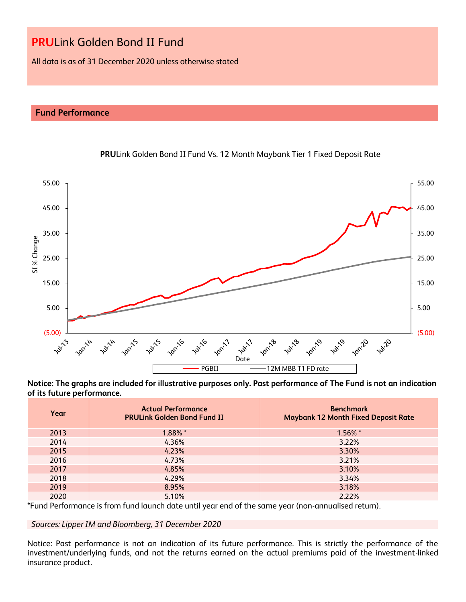All data is as of 31 December 2020 unless otherwise stated

## **Fund Performance**



### **PRU**Link Golden Bond II Fund Vs. 12 Month Maybank Tier 1 Fixed Deposit Rate

**Notice: The graphs are included for illustrative purposes only. Past performance of The Fund is not an indication of its future performance.**

| Year | <b>Actual Performance</b><br><b>PRULink Golden Bond Fund II</b> | <b>Benchmark</b><br><b>Maybank 12 Month Fixed Deposit Rate</b> |
|------|-----------------------------------------------------------------|----------------------------------------------------------------|
| 2013 | 1.88% *                                                         | 1.56% *                                                        |
| 2014 | 4.36%                                                           | 3.22%                                                          |
| 2015 | 4.23%                                                           | 3.30%                                                          |
| 2016 | 4.73%                                                           | 3.21%                                                          |
| 2017 | 4.85%                                                           | 3.10%                                                          |
| 2018 | 4.29%                                                           | 3.34%                                                          |
| 2019 | 8.95%                                                           | 3.18%                                                          |
| 2020 | 5.10%                                                           | 2.22%                                                          |

\*Fund Performance is from fund launch date until year end of the same year (non-annualised return).

*Sources: Lipper IM and Bloomberg, 31 December 2020*

Notice: Past performance is not an indication of its future performance. This is strictly the performance of the investment/underlying funds, and not the returns earned on the actual premiums paid of the investment-linked insurance product.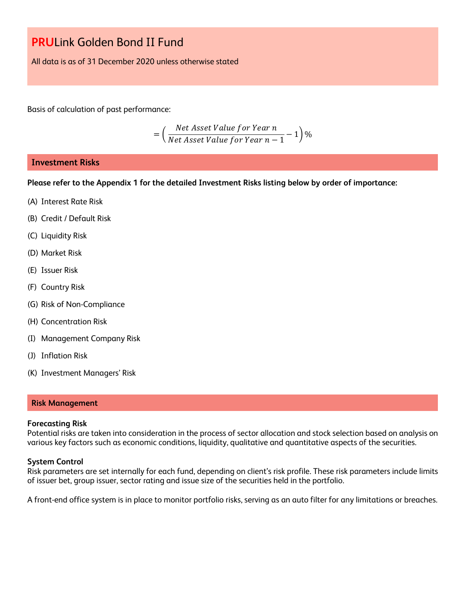All data is as of 31 December 2020 unless otherwise stated

Basis of calculation of past performance:

$$
= \left(\frac{Net\text{ Asset Value for Year }n}{Net\text{ Asset Value for Year }n-1}-1\right)\%
$$

## **Investment Risks**

**Please refer to the Appendix 1 for the detailed Investment Risks listing below by order of importance:**

- (A) Interest Rate Risk
- (B) Credit / Default Risk
- (C) Liquidity Risk
- (D) Market Risk
- (E) Issuer Risk
- (F) Country Risk
- (G) Risk of Non-Compliance
- (H) Concentration Risk
- (I) Management Company Risk
- (J) Inflation Risk
- (K) Investment Managers' Risk

### **Risk Management**

### **Forecasting Risk**

Potential risks are taken into consideration in the process of sector allocation and stock selection based on analysis on various key factors such as economic conditions, liquidity, qualitative and quantitative aspects of the securities.

### **System Control**

Risk parameters are set internally for each fund, depending on client's risk profile. These risk parameters include limits of issuer bet, group issuer, sector rating and issue size of the securities held in the portfolio.

A front-end office system is in place to monitor portfolio risks, serving as an auto filter for any limitations or breaches.